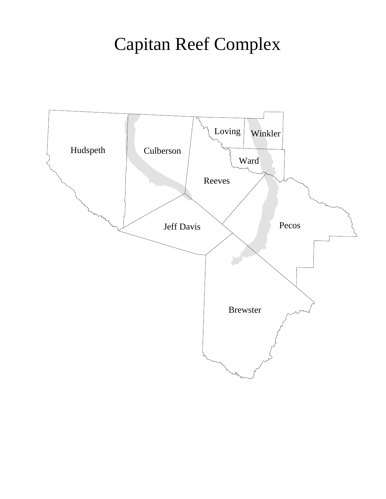## Capitan Reef Complex